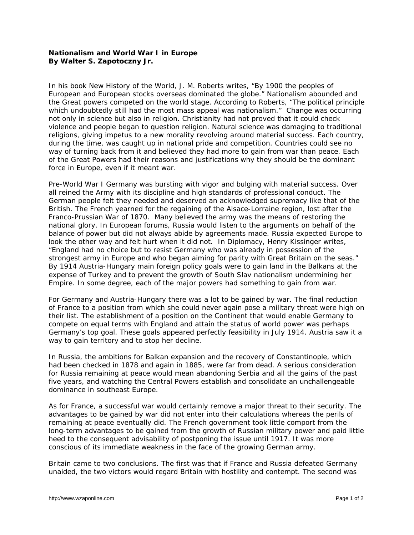## **Nationalism and World War I in Europe By Walter S. Zapotoczny Jr.**

In his book *New History of the World*, J. M. Roberts writes, "By 1900 the peoples of European and European stocks overseas dominated the globe." Nationalism abounded and the Great powers competed on the world stage. According to Roberts, "The political principle which undoubtedly still had the most mass appeal was nationalism." Change was occurring not only in science but also in religion. Christianity had not proved that it could check violence and people began to question religion. Natural science was damaging to traditional religions, giving impetus to a new morality revolving around material success. Each country, during the time, was caught up in national pride and competition. Countries could see no way of turning back from it and believed they had more to gain from war than peace. Each of the Great Powers had their reasons and justifications why they should be the dominant force in Europe, even if it meant war.

Pre-World War I Germany was bursting with vigor and bulging with material success. Over all reined the Army with its discipline and high standards of professional conduct. The German people felt they needed and deserved an acknowledged supremacy like that of the British. The French yearned for the regaining of the Alsace-Lorraine region, lost after the Franco-Prussian War of 1870. Many believed the army was the means of restoring the national glory. In European forums, Russia would listen to the arguments on behalf of the balance of power but did not always abide by agreements made. Russia expected Europe to look the other way and felt hurt when it did not. In *Diplomacy*, Henry Kissinger writes, "England had no choice but to resist Germany who was already in possession of the strongest army in Europe and who began aiming for parity with Great Britain on the seas." By 1914 Austria-Hungary main foreign policy goals were to gain land in the Balkans at the expense of Turkey and to prevent the growth of South Slav nationalism undermining her Empire. In some degree, each of the major powers had something to gain from war.

For Germany and Austria-Hungary there was a lot to be gained by war. The final reduction of France to a position from which she could never again pose a military threat were high on their list. The establishment of a position on the Continent that would enable Germany to compete on equal terms with England and attain the status of world power was perhaps Germany's top goal. These goals appeared perfectly feasibility in July 1914. Austria saw it a way to gain territory and to stop her decline.

In Russia, the ambitions for Balkan expansion and the recovery of Constantinople, which had been checked in 1878 and again in 1885, were far from dead. A serious consideration for Russia remaining at peace would mean abandoning Serbia and all the gains of the past five years, and watching the Central Powers establish and consolidate an unchallengeable dominance in southeast Europe.

As for France, a successful war would certainly remove a major threat to their security. The advantages to be gained by war did not enter into their calculations whereas the perils of remaining at peace eventually did. The French government took little comport from the long-term advantages to be gained from the growth of Russian military power and paid little heed to the consequent advisability of postponing the issue until 1917. It was more conscious of its immediate weakness in the face of the growing German army.

Britain came to two conclusions. The first was that if France and Russia defeated Germany unaided, the two victors would regard Britain with hostility and contempt. The second was